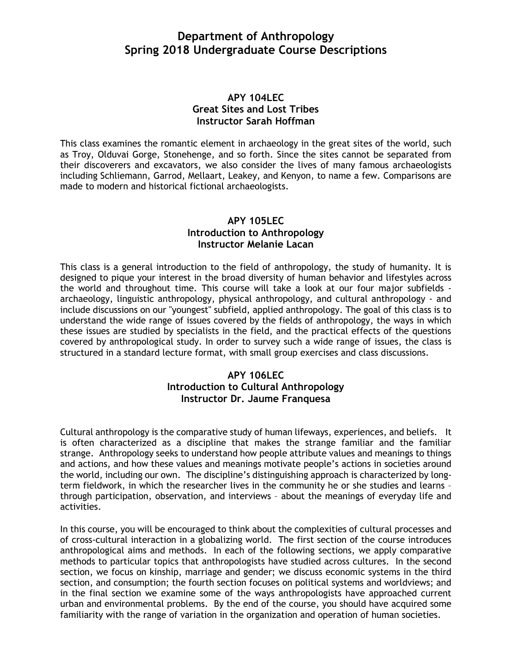# **Department of Anthropology Spring 2018 Undergraduate Course Descriptions**

## **APY 104LEC Great Sites and Lost Tribes Instructor Sarah Hoffman**

This class examines the romantic element in archaeology in the great sites of the world, such as Troy, Olduvai Gorge, Stonehenge, and so forth. Since the sites cannot be separated from their discoverers and excavators, we also consider the lives of many famous archaeologists including Schliemann, Garrod, Mellaart, Leakey, and Kenyon, to name a few. Comparisons are made to modern and historical fictional archaeologists.

## **APY 105LEC Introduction to Anthropology Instructor Melanie Lacan**

This class is a general introduction to the field of anthropology, the study of humanity. It is designed to pique your interest in the broad diversity of human behavior and lifestyles across the world and throughout time. This course will take a look at our four major subfields archaeology, linguistic anthropology, physical anthropology, and cultural anthropology - and include discussions on our "youngest" subfield, applied anthropology. The goal of this class is to understand the wide range of issues covered by the fields of anthropology, the ways in which these issues are studied by specialists in the field, and the practical effects of the questions covered by anthropological study. In order to survey such a wide range of issues, the class is structured in a standard lecture format, with small group exercises and class discussions.

# **APY 106LEC Introduction to Cultural Anthropology Instructor Dr. Jaume Franquesa**

Cultural anthropology is the comparative study of human lifeways, experiences, and beliefs. It is often characterized as a discipline that makes the strange familiar and the familiar strange. Anthropology seeks to understand how people attribute values and meanings to things and actions, and how these values and meanings motivate people's actions in societies around the world, including our own. The discipline's distinguishing approach is characterized by longterm fieldwork, in which the researcher lives in the community he or she studies and learns – through participation, observation, and interviews – about the meanings of everyday life and activities.

In this course, you will be encouraged to think about the complexities of cultural processes and of cross-cultural interaction in a globalizing world. The first section of the course introduces anthropological aims and methods. In each of the following sections, we apply comparative methods to particular topics that anthropologists have studied across cultures. In the second section, we focus on kinship, marriage and gender; we discuss economic systems in the third section, and consumption; the fourth section focuses on political systems and worldviews; and in the final section we examine some of the ways anthropologists have approached current urban and environmental problems. By the end of the course, you should have acquired some familiarity with the range of variation in the organization and operation of human societies.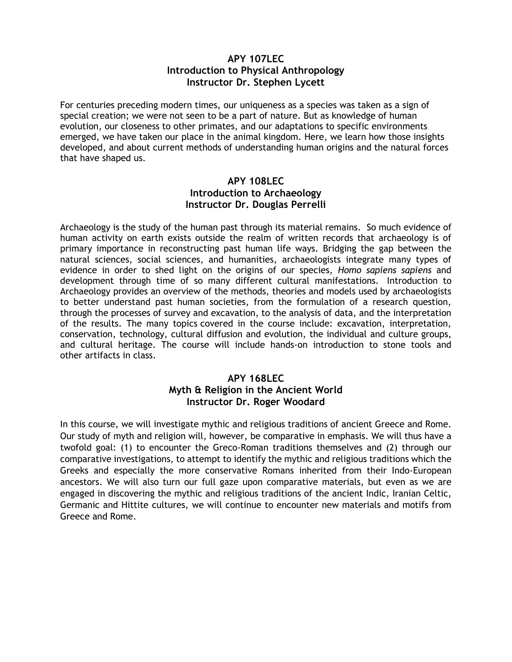## **APY 107LEC Introduction to Physical Anthropology Instructor Dr. Stephen Lycett**

For centuries preceding modern times, our uniqueness as a species was taken as a sign of special creation; we were not seen to be a part of nature. But as knowledge of human evolution, our closeness to other primates, and our adaptations to specific environments emerged, we have taken our place in the animal kingdom. Here, we learn how those insights developed, and about current methods of understanding human origins and the natural forces that have shaped us.

# **APY 108LEC Introduction to Archaeology Instructor Dr. Douglas Perrelli**

Archaeology is the study of the human past through its material remains. So much evidence of human activity on earth exists outside the realm of written records that archaeology is of primary importance in reconstructing past human life ways. Bridging the gap between the natural sciences, social sciences, and humanities, archaeologists integrate many types of evidence in order to shed light on the origins of our species, *Homo sapiens sapiens* and development through time of so many different cultural manifestations. Introduction to Archaeology provides an overview of the methods, theories and models used by archaeologists to better understand past human societies, from the formulation of a research question, through the processes of survey and excavation, to the analysis of data, and the interpretation of the results. The many topics covered in the course include: excavation, interpretation, conservation, technology, cultural diffusion and evolution, the individual and culture groups, and cultural heritage. The course will include hands-on introduction to stone tools and other artifacts in class.

# **APY 168LEC Myth & Religion in the Ancient World Instructor Dr. Roger Woodard**

In this course, we will investigate mythic and religious traditions of ancient Greece and Rome. Our study of myth and religion will, however, be comparative in emphasis. We will thus have a twofold goal: (1) to encounter the Greco-Roman traditions themselves and (2) through our comparative investigations, to attempt to identify the mythic and religious traditions which the Greeks and especially the more conservative Romans inherited from their Indo-European ancestors. We will also turn our full gaze upon comparative materials, but even as we are engaged in discovering the mythic and religious traditions of the ancient Indic, Iranian Celtic, Germanic and Hittite cultures, we will continue to encounter new materials and motifs from Greece and Rome.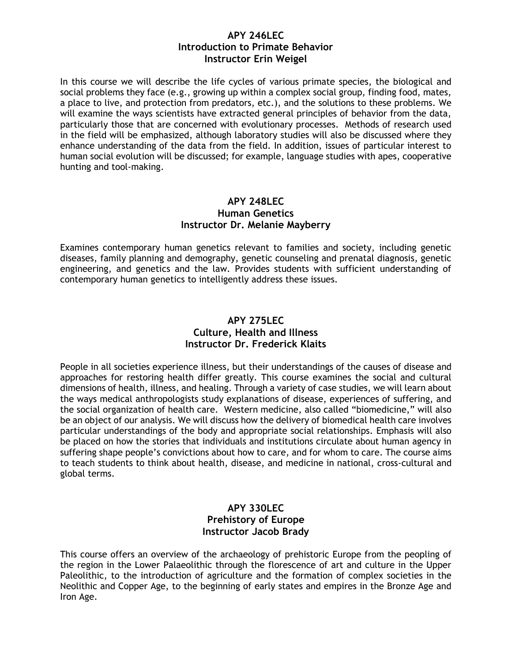#### **APY 246LEC Introduction to Primate Behavior Instructor Erin Weigel**

In this course we will describe the life cycles of various primate species, the biological and social problems they face (e.g., growing up within a complex social group, finding food, mates, a place to live, and protection from predators, etc.), and the solutions to these problems. We will examine the ways scientists have extracted general principles of behavior from the data, particularly those that are concerned with evolutionary processes. Methods of research used in the field will be emphasized, although laboratory studies will also be discussed where they enhance understanding of the data from the field. In addition, issues of particular interest to human social evolution will be discussed; for example, language studies with apes, cooperative hunting and tool-making.

## **APY 248LEC Human Genetics Instructor Dr. Melanie Mayberry**

Examines contemporary human genetics relevant to families and society, including genetic diseases, family planning and demography, genetic counseling and prenatal diagnosis, genetic engineering, and genetics and the law. Provides students with sufficient understanding of contemporary human genetics to intelligently address these issues.

## **APY 275LEC Culture, Health and Illness Instructor Dr. Frederick Klaits**

People in all societies experience illness, but their understandings of the causes of disease and approaches for restoring health differ greatly. This course examines the social and cultural dimensions of health, illness, and healing. Through a variety of case studies, we will learn about the ways medical anthropologists study explanations of disease, experiences of suffering, and the social organization of health care. Western medicine, also called "biomedicine," will also be an object of our analysis. We will discuss how the delivery of biomedical health care involves particular understandings of the body and appropriate social relationships. Emphasis will also be placed on how the stories that individuals and institutions circulate about human agency in suffering shape people's convictions about how to care, and for whom to care. The course aims to teach students to think about health, disease, and medicine in national, cross-cultural and global terms.

## **APY 330LEC Prehistory of Europe Instructor Jacob Brady**

This course offers an overview of the archaeology of prehistoric Europe from the peopling of the region in the Lower Palaeolithic through the florescence of art and culture in the Upper Paleolithic, to the introduction of agriculture and the formation of complex societies in the Neolithic and Copper Age, to the beginning of early states and empires in the Bronze Age and Iron Age.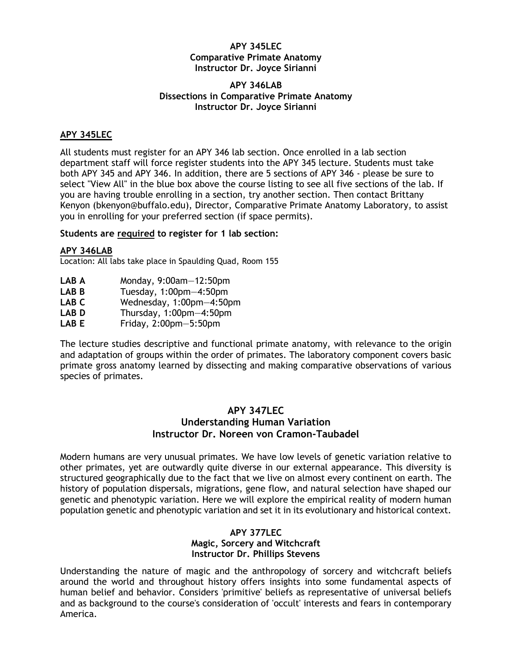#### **APY 345LEC Comparative Primate Anatomy Instructor Dr. Joyce Sirianni**

#### **APY 346LAB Dissections in Comparative Primate Anatomy Instructor Dr. Joyce Sirianni**

#### **APY 345LEC**

All students must register for an APY 346 lab section. Once enrolled in a lab section department staff will force register students into the APY 345 lecture. Students must take both APY 345 and APY 346. In addition, there are 5 sections of APY 346 - please be sure to select "View All" in the blue box above the course listing to see all five sections of the lab. If you are having trouble enrolling in a section, try another section. Then contact Brittany Kenyon (bkenyon@buffalo.edu), Director, Comparative Primate Anatomy Laboratory, to assist you in enrolling for your preferred section (if space permits).

#### **Students are required to register for 1 lab section:**

#### **APY 346LAB**

Location: All labs take place in Spaulding Quad, Room 155

- **LAB A** Monday, 9:00am—12:50pm
- **LAB B** Tuesday, 1:00pm—4:50pm
- **LAB C** Wednesday, 1:00pm—4:50pm
- **LAB D** Thursday, 1:00pm—4:50pm
- **LAB E** Friday, 2:00pm—5:50pm

The lecture studies descriptive and functional primate anatomy, with relevance to the origin and adaptation of groups within the order of primates. The laboratory component covers basic primate gross anatomy learned by dissecting and making comparative observations of various species of primates.

#### **APY 347LEC Understanding Human Variation Instructor Dr. Noreen von Cramon-Taubadel**

Modern humans are very unusual primates. We have low levels of genetic variation relative to other primates, yet are outwardly quite diverse in our external appearance. This diversity is structured geographically due to the fact that we live on almost every continent on earth. The history of population dispersals, migrations, gene flow, and natural selection have shaped our genetic and phenotypic variation. Here we will explore the empirical reality of modern human population genetic and phenotypic variation and set it in its evolutionary and historical context.

## **APY 377LEC Magic, Sorcery and Witchcraft Instructor Dr. Phillips Stevens**

Understanding the nature of magic and the anthropology of sorcery and witchcraft beliefs around the world and throughout history offers insights into some fundamental aspects of human belief and behavior. Considers 'primitive' beliefs as representative of universal beliefs and as background to the course's consideration of 'occult' interests and fears in contemporary America.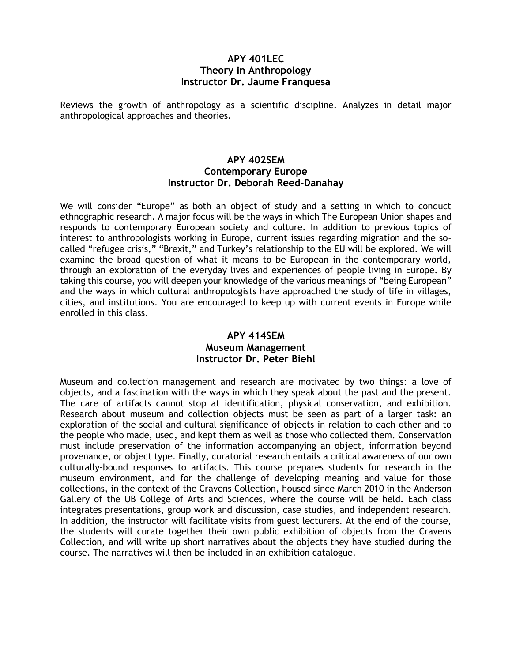#### **APY 401LEC Theory in Anthropology Instructor Dr. Jaume Franquesa**

Reviews the growth of anthropology as a scientific discipline. Analyzes in detail major anthropological approaches and theories.

#### **APY 402SEM Contemporary Europe Instructor Dr. Deborah Reed-Danahay**

We will consider "Europe" as both an object of study and a setting in which to conduct ethnographic research. A major focus will be the ways in which The European Union shapes and responds to contemporary European society and culture. In addition to previous topics of interest to anthropologists working in Europe, current issues regarding migration and the socalled "refugee crisis," "Brexit," and Turkey's relationship to the EU will be explored. We will examine the broad question of what it means to be European in the contemporary world, through an exploration of the everyday lives and experiences of people living in Europe. By taking this course, you will deepen your knowledge of the various meanings of "being European" and the ways in which cultural anthropologists have approached the study of life in villages, cities, and institutions. You are encouraged to keep up with current events in Europe while enrolled in this class.

## **APY 414SEM Museum Management Instructor Dr. Peter Biehl**

Museum and collection management and research are motivated by two things: a love of objects, and a fascination with the ways in which they speak about the past and the present. The care of artifacts cannot stop at identification, physical conservation, and exhibition. Research about museum and collection objects must be seen as part of a larger task: an exploration of the social and cultural significance of objects in relation to each other and to the people who made, used, and kept them as well as those who collected them. Conservation must include preservation of the information accompanying an object, information beyond provenance, or object type. Finally, curatorial research entails a critical awareness of our own culturally-bound responses to artifacts. This course prepares students for research in the museum environment, and for the challenge of developing meaning and value for those collections, in the context of the Cravens Collection, housed since March 2010 in the Anderson Gallery of the UB College of Arts and Sciences, where the course will be held. Each class integrates presentations, group work and discussion, case studies, and independent research. In addition, the instructor will facilitate visits from guest lecturers. At the end of the course, the students will curate together their own public exhibition of objects from the Cravens Collection, and will write up short narratives about the objects they have studied during the course. The narratives will then be included in an exhibition catalogue.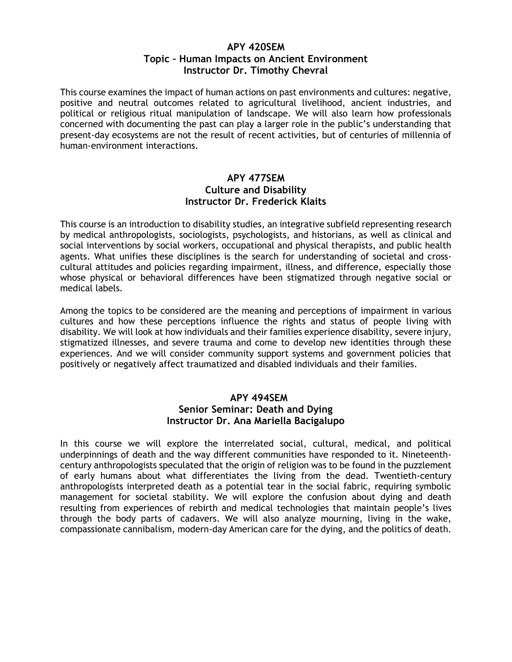## **APY 420SEM Topic – Human Impacts on Ancient Environment Instructor Dr. Timothy Chevral**

This course examines the impact of human actions on past environments and cultures: negative, positive and neutral outcomes related to agricultural livelihood, ancient industries, and political or religious ritual manipulation of landscape. We will also learn how professionals concerned with documenting the past can play a larger role in the public's understanding that present-day ecosystems are not the result of recent activities, but of centuries of millennia of human-environment interactions.

## **APY 477SEM Culture and Disability Instructor Dr. Frederick Klaits**

This course is an introduction to disability studies, an integrative subfield representing research by medical anthropologists, sociologists, psychologists, and historians, as well as clinical and social interventions by social workers, occupational and physical therapists, and public health agents. What unifies these disciplines is the search for understanding of societal and crosscultural attitudes and policies regarding impairment, illness, and difference, especially those whose physical or behavioral differences have been stigmatized through negative social or medical labels.

Among the topics to be considered are the meaning and perceptions of impairment in various cultures and how these perceptions influence the rights and status of people living with disability. We will look at how individuals and their families experience disability, severe injury, stigmatized illnesses, and severe trauma and come to develop new identities through these experiences. And we will consider community support systems and government policies that positively or negatively affect traumatized and disabled individuals and their families.

#### **APY 494SEM Senior Seminar: Death and Dying**

# **Instructor Dr. Ana Mariella Bacigalupo**

In this course we will explore the interrelated social, cultural, medical, and political underpinnings of death and the way different communities have responded to it. Nineteenthcentury anthropologists speculated that the origin of religion was to be found in the puzzlement of early humans about what differentiates the living from the dead. Twentieth-century anthropologists interpreted death as a potential tear in the social fabric, requiring symbolic management for societal stability. We will explore the confusion about dying and death resulting from experiences of rebirth and medical technologies that maintain people's lives through the body parts of cadavers. We will also analyze mourning, living in the wake, compassionate cannibalism, modern-day American care for the dying, and the politics of death.